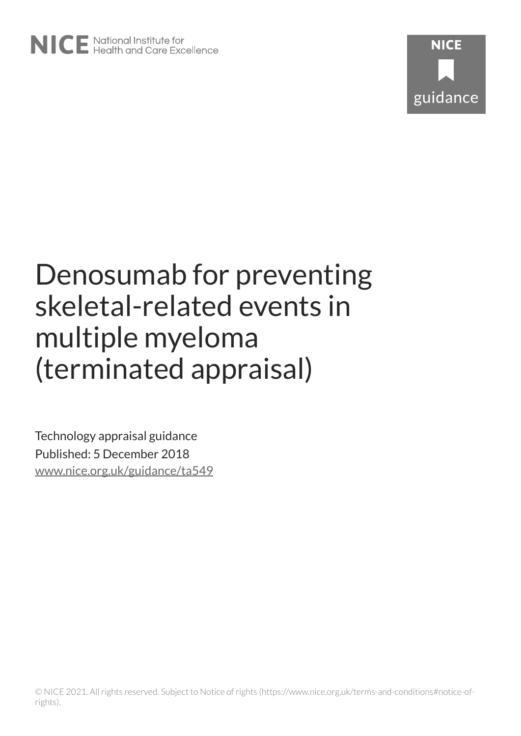# Denosumab for preventing skeletal-related events in multiple myeloma (terminated appraisal)

Technology appraisal guidance Published: 5 December 2018 [www.nice.org.uk/guidance/ta549](https://www.nice.org.uk/guidance/ta549)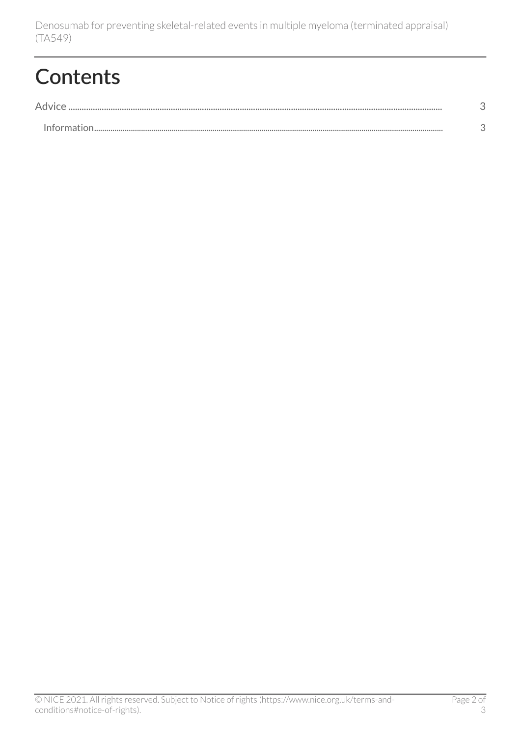### **Contents**

| <b>Information</b> |  |
|--------------------|--|